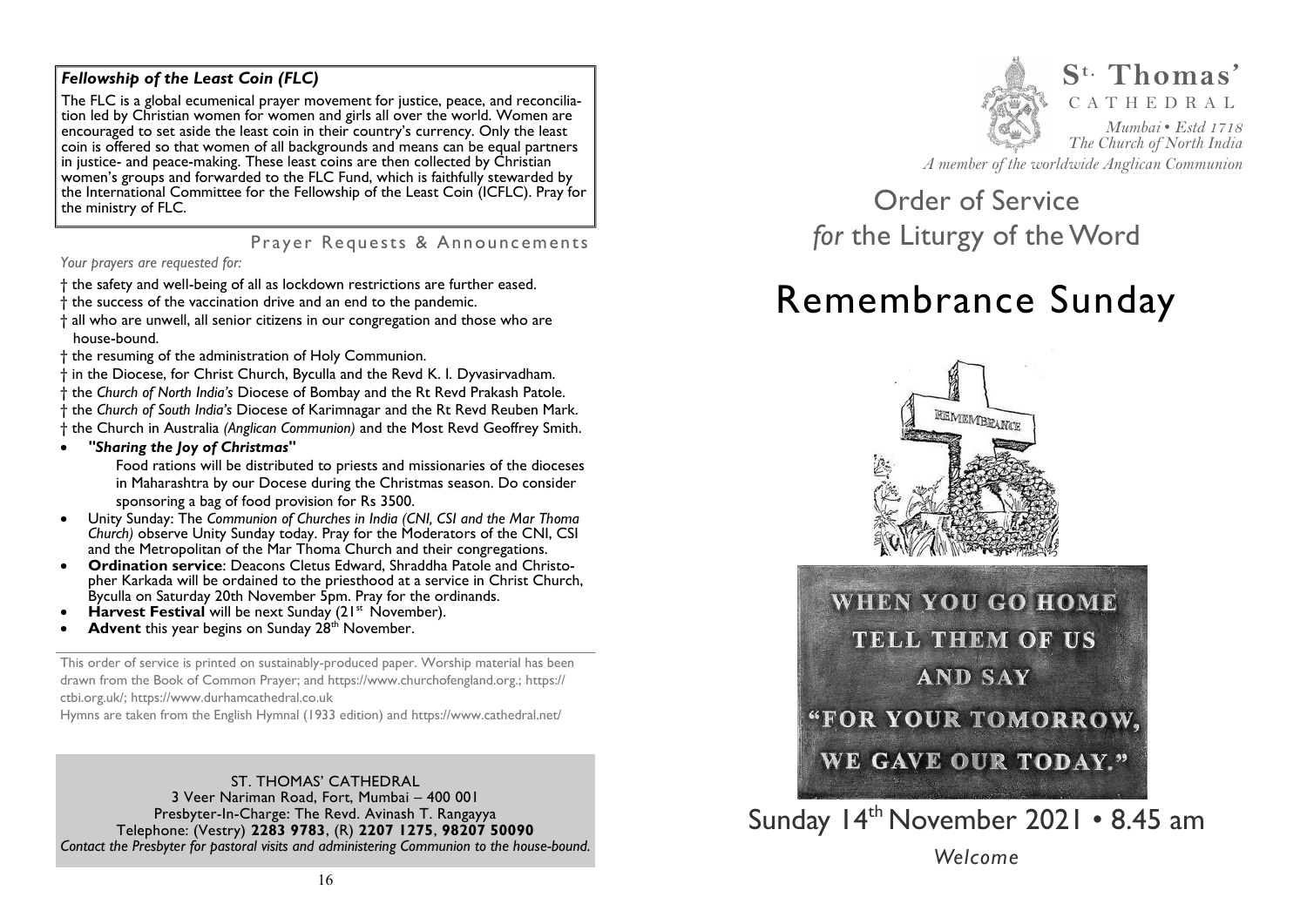### *Fellowship of the Least Coin (FLC)*

The FLC is a global ecumenical prayer movement for justice, peace, and reconciliation led by Christian women for women and girls all over the world. Women are encouraged to set aside the least coin in their country's currency. Only the least coin is offered so that women of all backgrounds and means can be equal partners in justice- and peace-making. These least coins are then collected by Christian women's groups and forwarded to the FLC Fund, which is faithfully stewarded by the International Committee for the Fellowship of the Least Coin (ICFLC). Pray for **the contract of service** and the ministry of FLC.<br>the ministry of FLC.

Prayer Requests & Announcements

*Your prayers are requested for:* 

- † the safety and well-being of all as lockdown restrictions are further eased.
- † the success of the vaccination drive and an end to the pandemic.
- † all who are unwell, all senior citizens in our congregation and those who are house-bound.
- † the resuming of the administration of Holy Communion.
- † in the Diocese, for Christ Church, Byculla and the Revd K. I. Dyvasirvadham.
- † the *Church of North India's* Diocese of Bombay and the Rt Revd Prakash Patole.
- † the *Church of South India's* Diocese of Karimnagar and the Rt Revd Reuben Mark. † the Church in Australia *(Anglican Communion)* and the Most Revd Geoffrey Smith.
- *"Sharing the Joy of Christmas"* 
	- Food rations will be distributed to priests and missionaries of the dioceses in Maharashtra by our Docese during the Christmas season. Do consider sponsoring a bag of food provision for Rs 3500.
- Unity Sunday: The *Communion of Churches in India (CNI, CSI and the Mar Thoma Church)* observe Unity Sunday today. Pray for the Moderators of the CNI, CSI and the Metropolitan of the Mar Thoma Church and their congregations.
- **Ordination service**: Deacons Cletus Edward, Shraddha Patole and Christopher Karkada will be ordained to the priesthood at a service in Christ Church, Byculla on Saturday 20th November 5pm. Pray for the ordinands.
- **Harvest Festival** will be next Sunday (21<sup>st</sup> November).
- **Advent** this year begins on Sunday 28<sup>th</sup> November.

This order of service is printed on sustainably-produced paper. Worship material has been drawn from the Book of Common Prayer; and https://www.churchofengland.org.; [https://](https://ctbi.org.uk/) [ctbi.org.uk/;](https://ctbi.org.uk/)<https://www.durhamcathedral.co.uk>

Hymns are taken from the English Hymnal (1933 edition) and <https://www.cathedral.net/>

ST. THOMAS' CATHEDRAL 3 Veer Nariman Road, Fort, Mumbai – 400 001 Presbyter-In-Charge: The Revd. Avinash T. Rangayya Telephone: (Vestry) **2283 9783**, (R) **2207 1275**, **98207 50090**  *Contact the Presbyter for pastoral visits and administering Communion to the house-bound.* 



*A member of the worldwide Anglican Communion* 

*for* the Liturgy of the Word

# Remembrance Sunday



**WHEN YOU GO HOME TELL THEM OF US AND SAY** "FOR YOUR TOMORROW. WE GAVE OUR TODAY."

Sunday 14<sup>th</sup> November 2021 • 8.45 am

*Welcome*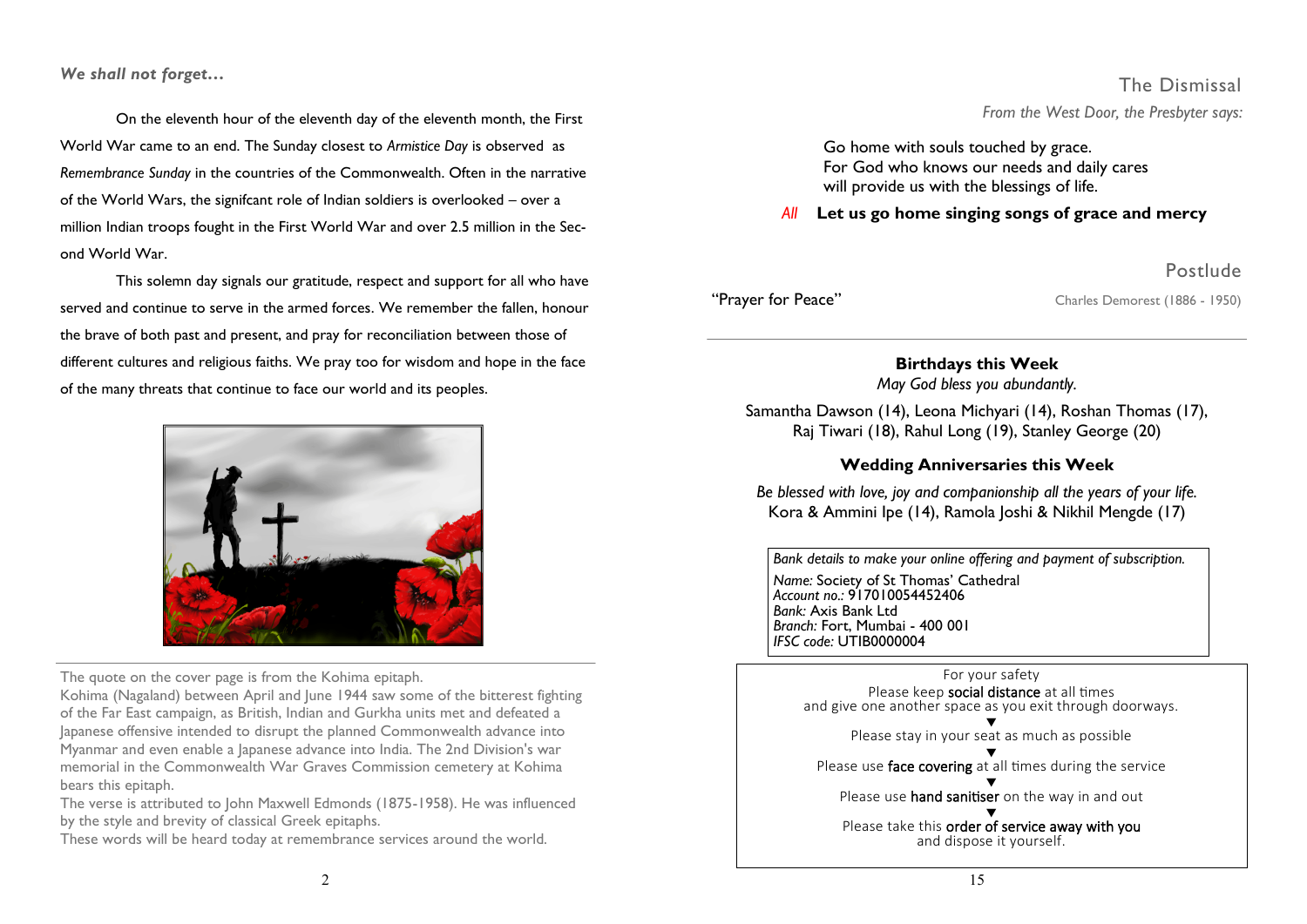#### *We shall not forget…*

 On the eleventh hour of the eleventh day of the eleventh month, the First World War came to an end. The Sunday closest to *Armistice Day* is observed as *Remembrance Sunday* in the countries of the Commonwealth. Often in the narrative of the World Wars, the signifcant role of Indian soldiers is overlooked – over a million Indian troops fought in the First World War and over 2.5 million in the Second World War.

This solemn day signals our gratitude, respect and support for all who have served and continue to serve in the armed forces. We remember the fallen, honour the brave of both past and present, and pray for reconciliation between those of different cultures and religious faiths. We pray too for wisdom and hope in the face of the many threats that continue to face our world and its peoples.



The quote on the cover page is from the Kohima epitaph.

Kohima (Nagaland) between April and June 1944 saw some of the bitterest fighting of the Far East campaign, as British, Indian and Gurkha units met and defeated a Japanese offensive intended to disrupt the planned Commonwealth advance into Myanmar and even enable a Japanese advance into India. The 2nd Division's war memorial in the Commonwealth War Graves Commission cemetery at Kohima bears this epitaph.

The verse is attributed to John Maxwell Edmonds (1875-1958). He was influenced by the style and brevity of classical Greek epitaphs.

These words will be heard today at remembrance services around the world.

# The Dismissal

*From the West Door, the Presbyter says:* 

Go home with souls touched by grace. For God who knows our needs and daily cares will provide us with the blessings of life.

 *All* **Let us go home singing songs of grace and mercy**

Postlude

"Prayer for Peace" Charles Demorest (1886 - 1950)

#### **Birthdays this Week**

*May God bless you abundantly.* 

Samantha Dawson (14), Leona Michyari (14), Roshan Thomas (17), Raj Tiwari (18), Rahul Long (19), Stanley George (20)

#### **Wedding Anniversaries this Week**

*Be blessed with love, joy and companionship all the years of your life.*  Kora & Ammini Ipe (14), Ramola Joshi & Nikhil Mengde (17)

*Bank details to make your online offering and payment of subscription. Name:* Society of St Thomas' Cathedral *Account no.:* 917010054452406 *Bank:* Axis Bank Ltd *Branch:* Fort, Mumbai - 400 001 *IFSC code:* UTIB0000004

For your safety Please keep social distance at all times and give one another space as you exit through doorways.

▼ Please stay in your seat as much as possible

▼<br>Please use **face covering** at all times during the service

▼ Please use hand sanitiser on the way in and out

▼ Please take this order of service away with you and dispose it yourself.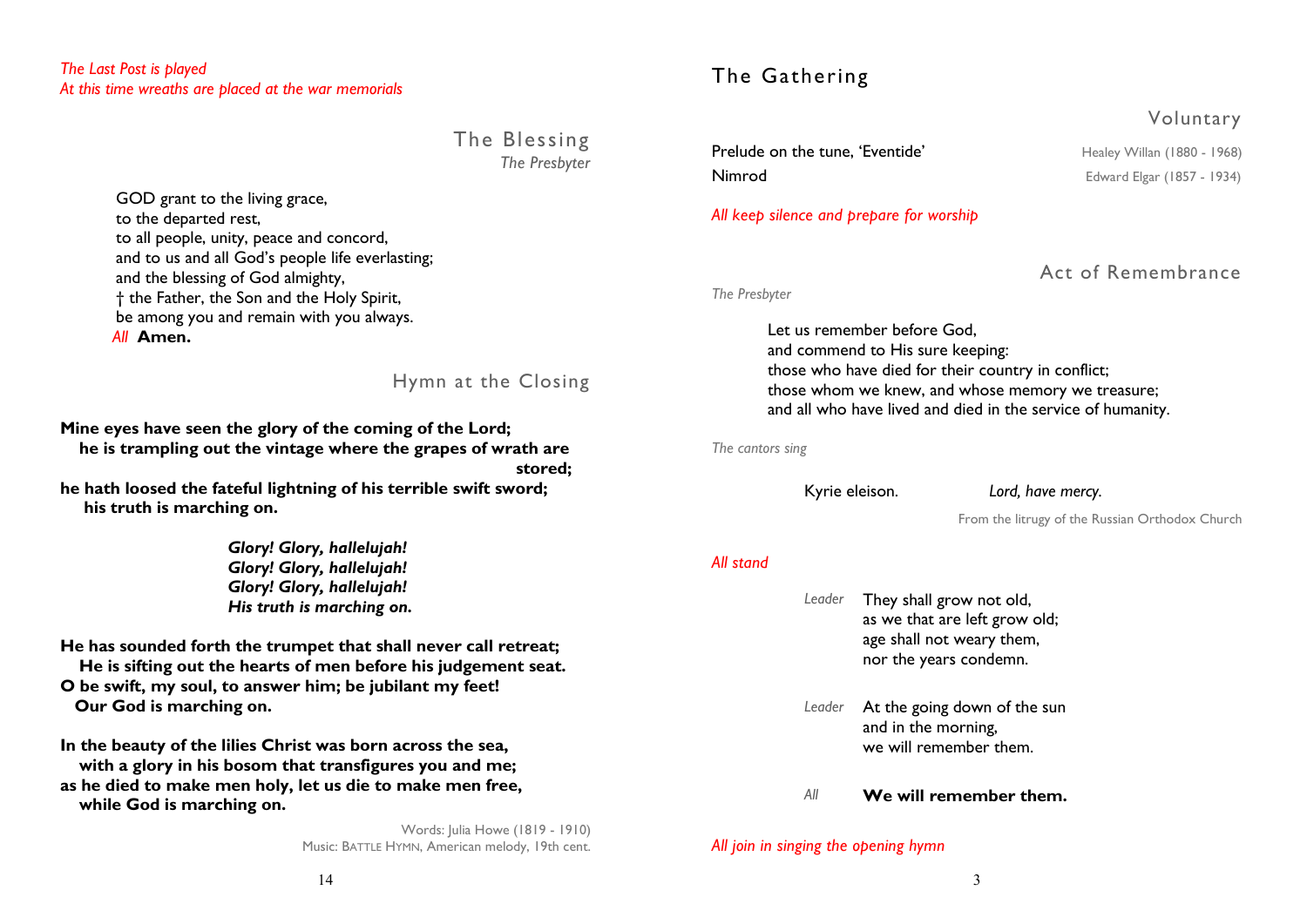#### *The Last Post is played At this time wreaths are placed at the war memorials*

The Blessing *The Presbyter* 

GOD grant to the living grace, to the departed rest, to all people, unity, peace and concord, and to us and all God's people life everlasting; and the blessing of God almighty, † the Father, the Son and the Holy Spirit, be among you and remain with you always.  *All* **Amen.** 

Hymn at the Closing

#### **Mine eyes have seen the glory of the coming of the Lord; he is trampling out the vintage where the grapes of wrath are**   ${\bf stored;}$

**he hath loosed the fateful lightning of his terrible swift sword; his truth is marching on.** 

> *Glory! Glory, hallelujah! Glory! Glory, hallelujah! Glory! Glory, hallelujah! His truth is marching on.*

**He has sounded forth the trumpet that shall never call retreat; He is sifting out the hearts of men before his judgement seat. O be swift, my soul, to answer him; be jubilant my feet! Our God is marching on.** 

**In the beauty of the lilies Christ was born across the sea, with a glory in his bosom that transfigures you and me; as he died to make men holy, let us die to make men free, while God is marching on.** 

> Words: Julia Howe (1819 - 1910) Music: BATTLE HYMN, American melody, 19th cent.

# The Gathering

# Voluntary

**Prelude on the tune, 'Eventide'** Healey Willan (1880 - 1968) Nimrod Edward Elgar (1857 - 1934)

#### *All keep silence and prepare for worship*

# Act of Remembrance

*The Presbyter* 

Let us remember before God, and commend to His sure keeping: those who have died for their country in conflict; those whom we knew, and whose memory we treasure; and all who have lived and died in the service of humanity.

*The cantors sing* 

Kyrie eleison. *Lord, have mercy.* 

From the litrugy of the Russian Orthodox Church

#### *All stand*

| Leader | They shall grow not old,      |  |
|--------|-------------------------------|--|
|        | as we that are left grow old; |  |
|        | age shall not weary them,     |  |
|        | nor the years condemn.        |  |

- Leader At the going down of the sun and in the morning, we will remember them.
- *All* **We will remember them.**

*All join in singing the opening hymn*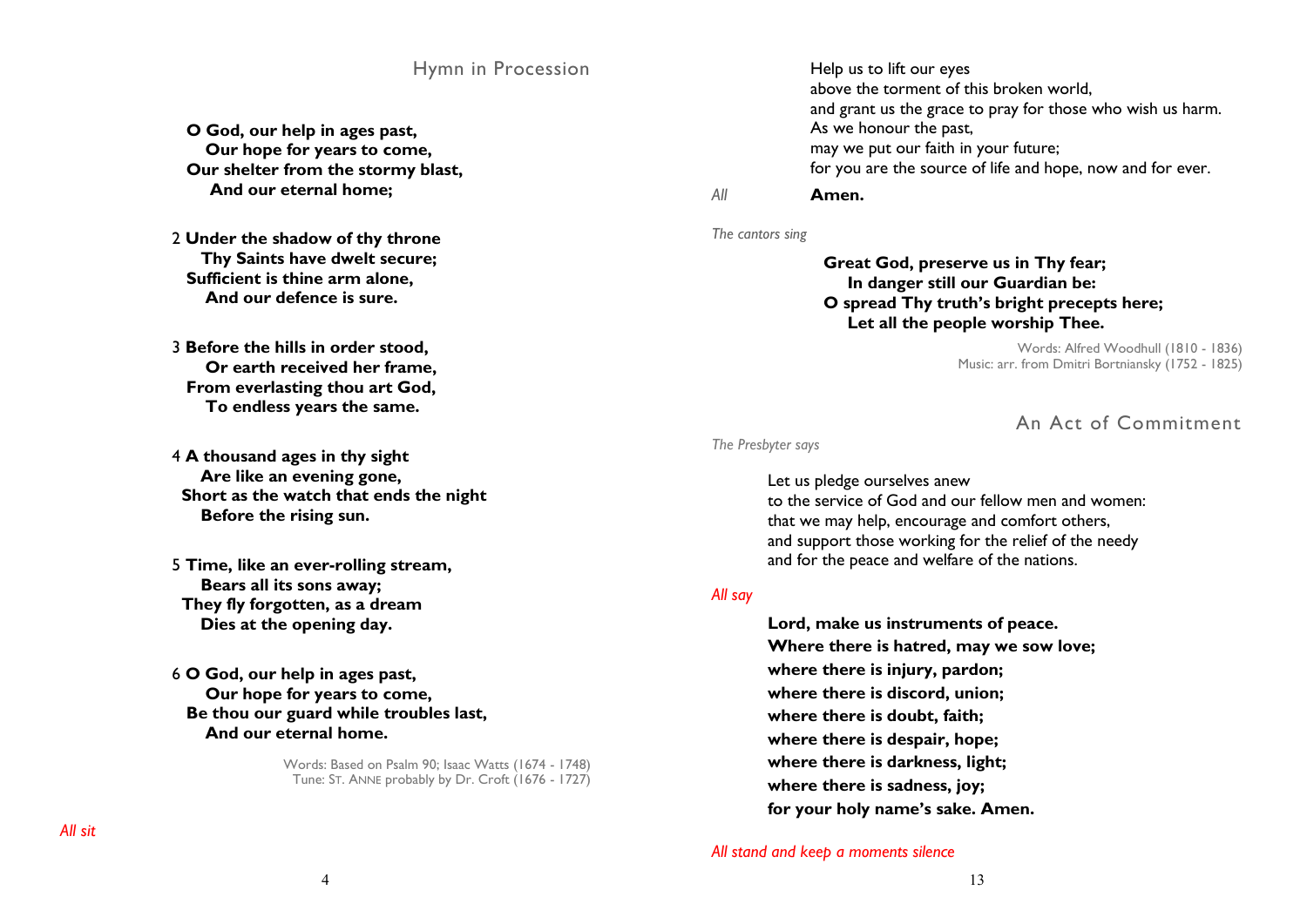#### Hymn in Procession

 **O God, our help in ages past, Our hope for years to come, Our shelter from the stormy blast, And our eternal home;** 

2 **Under the shadow of thy throne Thy Saints have dwelt secure; Sufficient is thine arm alone, And our defence is sure.** 

3 **Before the hills in order stood, Or earth received her frame, From everlasting thou art God, To endless years the same.** 

4 **A thousand ages in thy sight Are like an evening gone, Short as the watch that ends the night Before the rising sun.** 

5 **Time, like an ever-rolling stream, Bears all its sons away; They fly forgotten, as a dream Dies at the opening day.** 

6 **O God, our help in ages past, Our hope for years to come, Be thou our guard while troubles last, And our eternal home.** 

> Words: Based on Psalm 90; Isaac Watts (1674 - 1748) Tune: ST. ANNE probably by Dr. Croft (1676 - 1727)

Help us to lift our eyes above the torment of this broken world, and grant us the grace to pray for those who wish us harm. As we honour the past, may we put our faith in your future; for you are the source of life and hope, now and for ever.

*All* **Amen.** 

*The cantors sing* 

#### **Great God, preserve us in Thy fear; In danger still our Guardian be: O spread Thy truth's bright precepts here; Let all the people worship Thee.**

Words: Alfred Woodhull (1810 - 1836) Music: arr. from Dmitri Bortniansky (1752 - 1825)

# An Act of Commitment

*The Presbyter says* 

Let us pledge ourselves anew to the service of God and our fellow men and women: that we may help, encourage and comfort others, and support those working for the relief of the needy and for the peace and welfare of the nations.

#### *All say*

**Lord, make us instruments of peace. Where there is hatred, may we sow love; where there is injury, pardon; where there is discord, union; where there is doubt, faith; where there is despair, hope; where there is darkness, light; where there is sadness, joy; for your holy name's sake. Amen.** 

*All stand and keep a moments silence*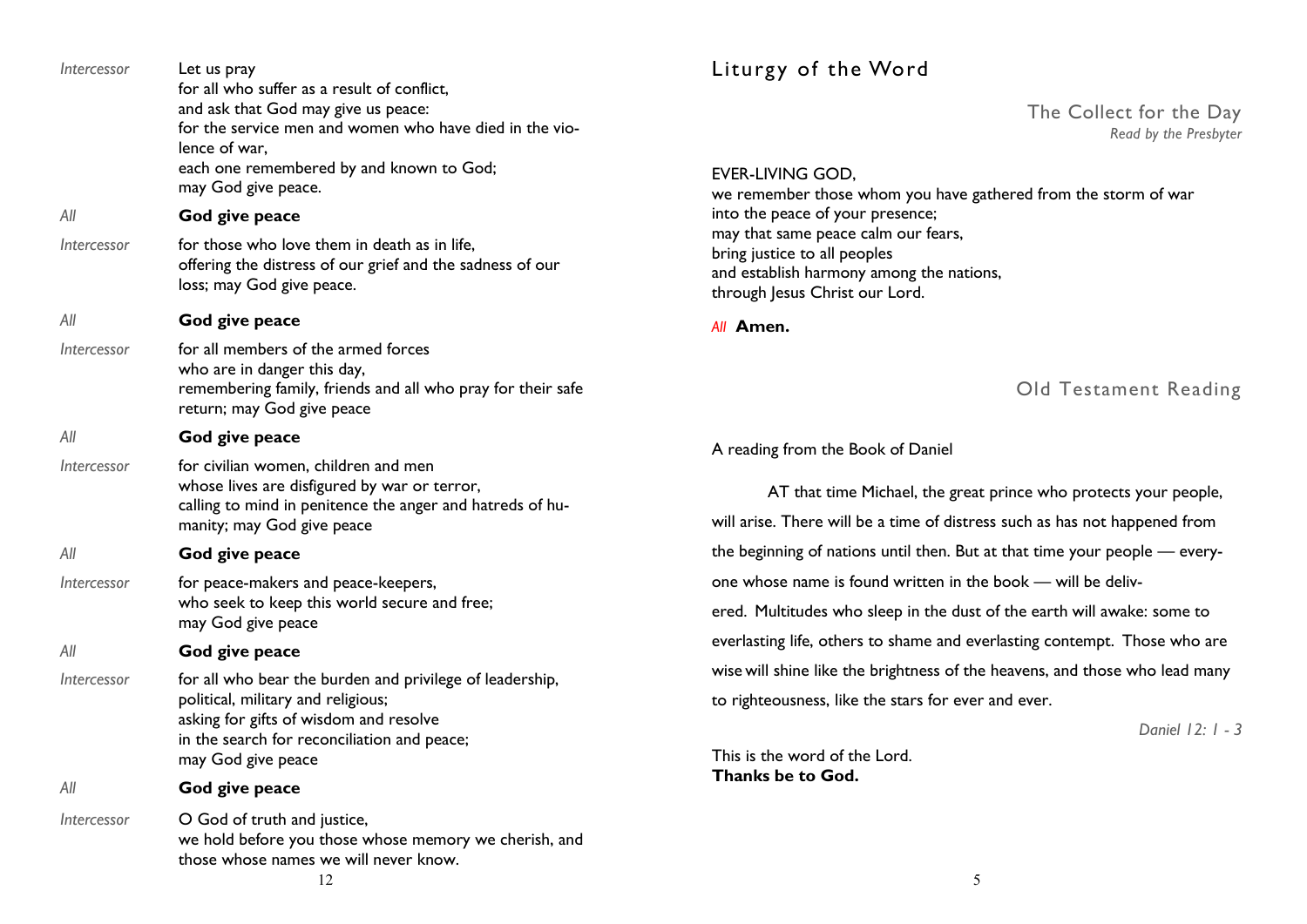| <i><u><b>Intercessor</b></u></i> | Let us pray<br>for all who suffer as a result of conflict,                                                                                                                                                    | Liturgy of the Word                                                                                                                                                                                                                                                                |  |
|----------------------------------|---------------------------------------------------------------------------------------------------------------------------------------------------------------------------------------------------------------|------------------------------------------------------------------------------------------------------------------------------------------------------------------------------------------------------------------------------------------------------------------------------------|--|
|                                  | and ask that God may give us peace:<br>for the service men and women who have died in the vio-<br>lence of war,                                                                                               | The Collect for the Day<br>Read by the Presbyter                                                                                                                                                                                                                                   |  |
|                                  | each one remembered by and known to God;<br>may God give peace.                                                                                                                                               | <b>EVER-LIVING GOD,</b><br>we remember those whom you have gathered from the storm of war<br>into the peace of your presence;<br>may that same peace calm our fears,<br>bring justice to all peoples<br>and establish harmony among the nations,<br>through Jesus Christ our Lord. |  |
| All                              | God give peace                                                                                                                                                                                                |                                                                                                                                                                                                                                                                                    |  |
| <i><u><b>Intercessor</b></u></i> | for those who love them in death as in life,<br>offering the distress of our grief and the sadness of our<br>loss; may God give peace.                                                                        |                                                                                                                                                                                                                                                                                    |  |
| All                              | God give peace                                                                                                                                                                                                | All Amen.                                                                                                                                                                                                                                                                          |  |
| <i><u><b>Intercessor</b></u></i> | for all members of the armed forces<br>who are in danger this day,<br>remembering family, friends and all who pray for their safe<br>return; may God give peace                                               | Old Testament Reading                                                                                                                                                                                                                                                              |  |
| All                              | God give peace                                                                                                                                                                                                | A reading from the Book of Daniel                                                                                                                                                                                                                                                  |  |
| <i><u><b>Intercessor</b></u></i> | for civilian women, children and men<br>whose lives are disfigured by war or terror,<br>calling to mind in penitence the anger and hatreds of hu-<br>manity; may God give peace                               | AT that time Michael, the great prince who protects your people,<br>will arise. There will be a time of distress such as has not happened from                                                                                                                                     |  |
| All                              | God give peace                                                                                                                                                                                                | the beginning of nations until then. But at that time your people - every-                                                                                                                                                                                                         |  |
| <i><u><b>Intercessor</b></u></i> | for peace-makers and peace-keepers,<br>who seek to keep this world secure and free;<br>may God give peace                                                                                                     | one whose name is found written in the book - will be deliv-                                                                                                                                                                                                                       |  |
|                                  |                                                                                                                                                                                                               | ered. Multitudes who sleep in the dust of the earth will awake: some to                                                                                                                                                                                                            |  |
| All                              | God give peace                                                                                                                                                                                                | everlasting life, others to shame and everlasting contempt. Those who are                                                                                                                                                                                                          |  |
| <i><u><b>Intercessor</b></u></i> | for all who bear the burden and privilege of leadership,<br>political, military and religious;<br>asking for gifts of wisdom and resolve<br>in the search for reconciliation and peace;<br>may God give peace | wise will shine like the brightness of the heavens, and those who lead many                                                                                                                                                                                                        |  |
|                                  |                                                                                                                                                                                                               | to righteousness, like the stars for ever and ever.                                                                                                                                                                                                                                |  |
|                                  |                                                                                                                                                                                                               | Daniel 12: 1 - 3<br>This is the word of the Lord.                                                                                                                                                                                                                                  |  |
| All                              | God give peace                                                                                                                                                                                                | Thanks be to God.                                                                                                                                                                                                                                                                  |  |
| Intercessor                      | O God of truth and justice,<br>we hold before you those whose memory we cherish, and<br>those whose names we will never know.                                                                                 |                                                                                                                                                                                                                                                                                    |  |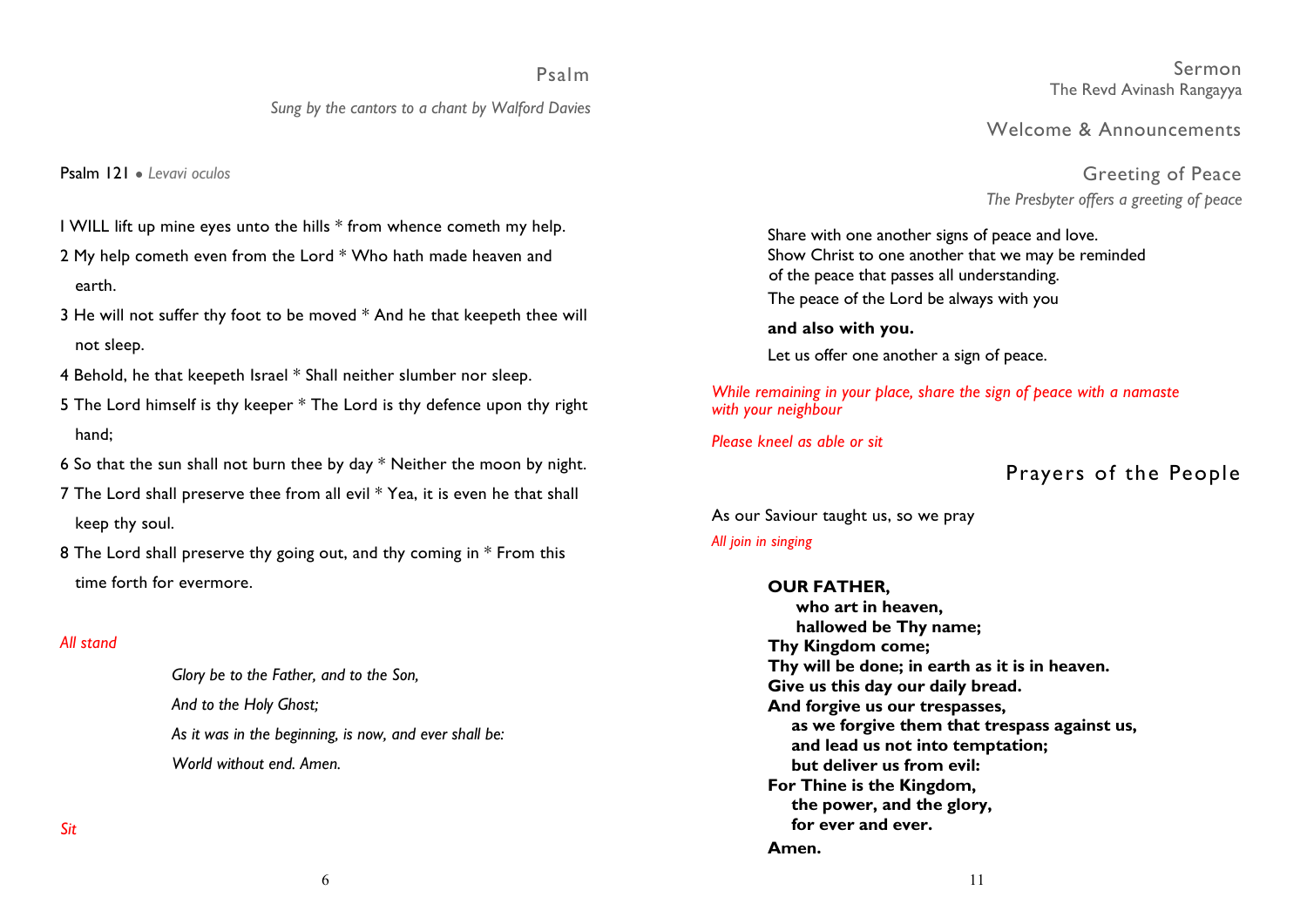Psalm *Sung by the cantors to a chant by Walford Davies*

Psalm 121 ● *Levavi oculos* 

- I WILL lift up mine eyes unto the hills \* from whence cometh my help.
- 2 My help cometh even from the Lord \* Who hath made heaven and earth.
- 3 He will not suffer thy foot to be moved \* And he that keepeth thee will not sleep.
- 4 Behold, he that keepeth Israel \* Shall neither slumber nor sleep.
- 5 The Lord himself is thy keeper \* The Lord is thy defence upon thy right hand;
- 6 So that the sun shall not burn thee by day \* Neither the moon by night.
- 7 The Lord shall preserve thee from all evil \* Yea, it is even he that shall keep thy soul.
- 8 The Lord shall preserve thy going out, and thy coming in \* From this time forth for evermore.

## *All stand*

*Glory be to the Father, and to the Son, And to the Holy Ghost; As it was in the beginning, is now, and ever shall be: World without end. Amen.* 

*Sit* 

Sermon The Revd Avinash Rangayya

Welcome & Announcements

Greeting of Peace *The Presbyter offers a greeting of peace*

 Share with one another signs of peace and love. Show Christ to one another that we may be reminded of the peace that passes all understanding. The peace of the Lord be always with you

 **and also with you.** 

Let us offer one another a sign of peace.

*While remaining in your place, share the sign of peace with a namaste with your neighbour*

*Please kneel as able or sit* 

# Prayers of the People

As our Saviour taught us, so we pray

*All join in singing* 

## **OUR FATHER,**

 **who art in heaven, hallowed be Thy name; Thy Kingdom come; Thy will be done; in earth as it is in heaven. Give us this day our daily bread. And forgive us our trespasses, as we forgive them that trespass against us, and lead us not into temptation; but deliver us from evil: For Thine is the Kingdom, the power, and the glory, for ever and ever. Amen.** 

6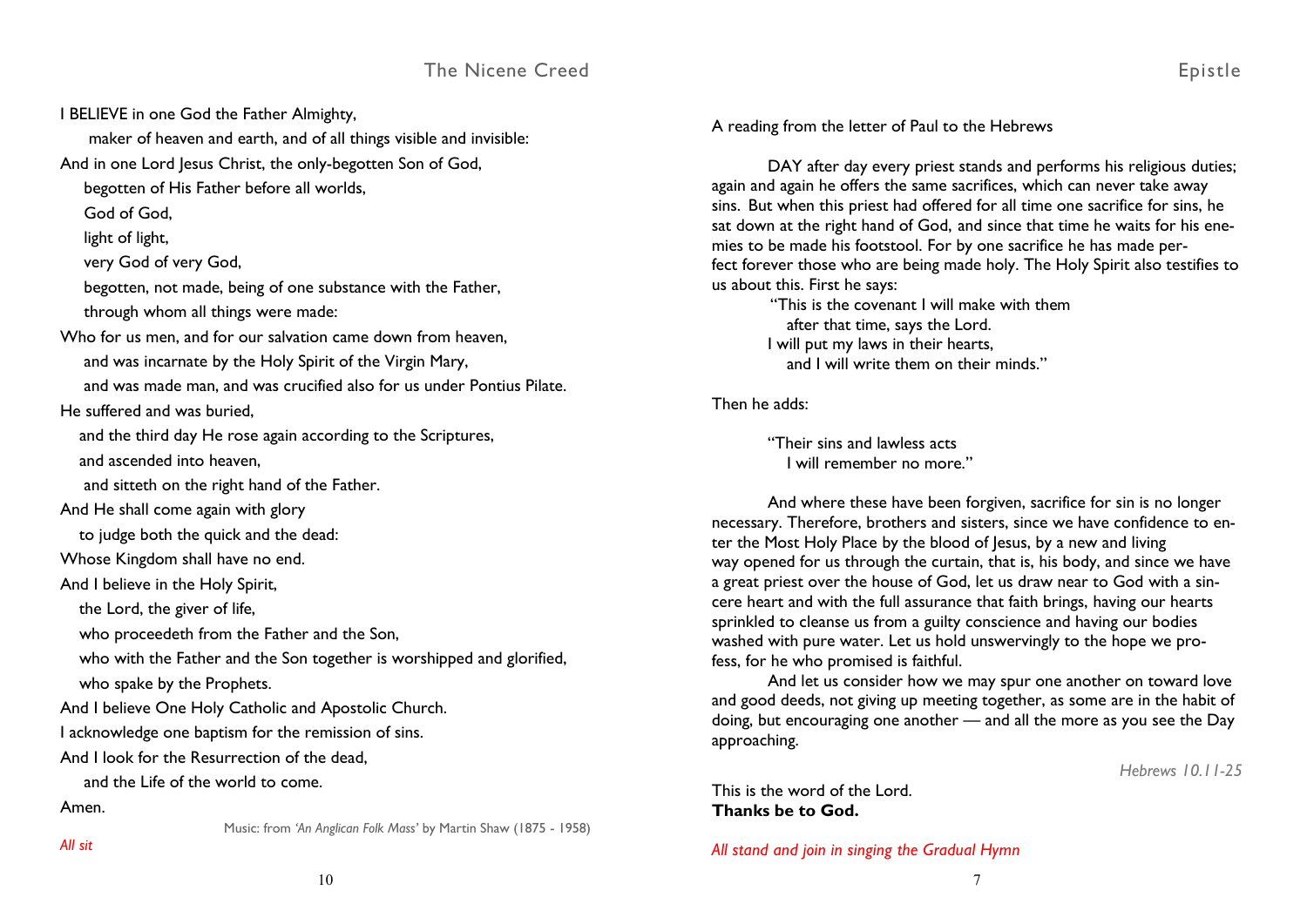I BELIEVE in one God the Father Almighty,

maker of heaven and earth, and of all things visible and invisible:

And in one Lord Jesus Christ, the only-begotten Son of God,

begotten of His Father before all worlds,

God of God,

light of light,

very God of very God,

begotten, not made, being of one substance with the Father,

through whom all things were made:

Who for us men, and for our salvation came down from heaven.

and was incarnate by the Holy Spirit of the Virgin Mary,

and was made man, and was crucified also for us under Pontius Pilate.

He suffered and was buried,

and the third day He rose again according to the Scriptures,

and ascended into heaven,

and sitteth on the right hand of the Father.

And He shall come again with glory

to judge both the quick and the dead:

Whose Kingdom shall have no end.

And I believe in the Holy Spirit,

the Lord, the giver of life,

who proceedeth from the Father and the Son,

 who with the Father and the Son together is worshipped and glorified, who spake by the Prophets.

And I believe One Holy Catholic and Apostolic Church.

I acknowledge one baptism for the remission of sins.

And I look for the Resurrection of the dead,

and the Life of the world to come.

Amen.

*All sit*

A reading from the letter of Paul to the Hebrews

 DAY after day every priest stands and performs his religious duties; again and again he offers the same sacrifices, which can never take away sins. But when this priest had offered for all time one sacrifice for sins, he sat down at the right hand of God, and since that time he waits for his enemies to be made his footstool. For by one sacrifice he has made perfect forever those who are being made holy. The Holy Spirit also testifies to us about this. First he says:

"This is the covenant I will make with them after that time, says the Lord. I will put my laws in their hearts, and I will write them on their minds."

Then he adds:

"Their sins and lawless acts I will remember no more."

And where these have been forgiven, sacrifice for sin is no longer necessary. Therefore, brothers and sisters, since we have confidence to enter the Most Holy Place by the blood of Jesus, by a new and living way opened for us through the curtain, that is, his body, and since we have a great priest over the house of God, let us draw near to God with a sincere heart and with the full assurance that faith brings, having our hearts sprinkled to cleanse us from a guilty conscience and having our bodies washed with pure water. Let us hold unswervingly to the hope we profess, for he who promised is faithful.

And let us consider how we may spur one another on toward love and good deeds, not giving up meeting together, as some are in the habit of doing, but encouraging one another — and all the more as you see the Day approaching.

*Hebrews 10.11-25*

This is the word of the Lord. **Thanks be to God.** 

*All stand and join in singing the Gradual Hymn* 

10

Music: from *'An Anglican Folk Mass'* by Martin Shaw (1875 - 1958)